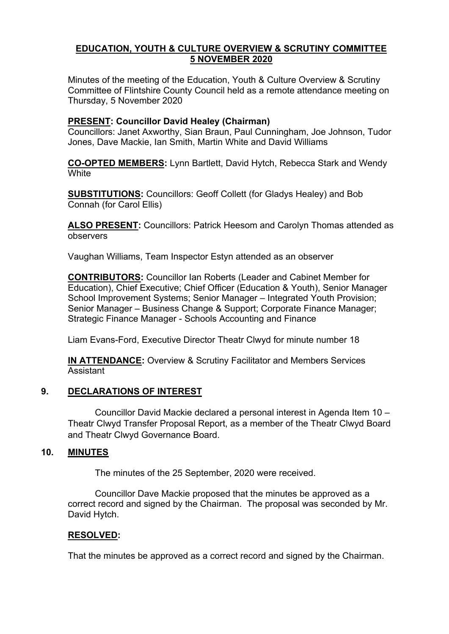# **EDUCATION, YOUTH & CULTURE OVERVIEW & SCRUTINY COMMITTEE 5 NOVEMBER 2020**

Minutes of the meeting of the Education, Youth & Culture Overview & Scrutiny Committee of Flintshire County Council held as a remote attendance meeting on Thursday, 5 November 2020

# **PRESENT: Councillor David Healey (Chairman)**

Councillors: Janet Axworthy, Sian Braun, Paul Cunningham, Joe Johnson, Tudor Jones, Dave Mackie, Ian Smith, Martin White and David Williams

**CO-OPTED MEMBERS:** Lynn Bartlett, David Hytch, Rebecca Stark and Wendy **White** 

**SUBSTITUTIONS:** Councillors: Geoff Collett (for Gladys Healey) and Bob Connah (for Carol Ellis)

**ALSO PRESENT:** Councillors: Patrick Heesom and Carolyn Thomas attended as observers

Vaughan Williams, Team Inspector Estyn attended as an observer

**CONTRIBUTORS:** Councillor Ian Roberts (Leader and Cabinet Member for Education), Chief Executive; Chief Officer (Education & Youth), Senior Manager School Improvement Systems; Senior Manager – Integrated Youth Provision; Senior Manager – Business Change & Support; Corporate Finance Manager; Strategic Finance Manager - Schools Accounting and Finance

Liam Evans-Ford, Executive Director Theatr Clwyd for minute number 18

**IN ATTENDANCE:** Overview & Scrutiny Facilitator and Members Services Assistant

# **9. DECLARATIONS OF INTEREST**

Councillor David Mackie declared a personal interest in Agenda Item 10 – Theatr Clwyd Transfer Proposal Report, as a member of the Theatr Clwyd Board and Theatr Clwyd Governance Board.

# **10. MINUTES**

The minutes of the 25 September, 2020 were received.

Councillor Dave Mackie proposed that the minutes be approved as a correct record and signed by the Chairman. The proposal was seconded by Mr. David Hytch.

## **RESOLVED:**

That the minutes be approved as a correct record and signed by the Chairman.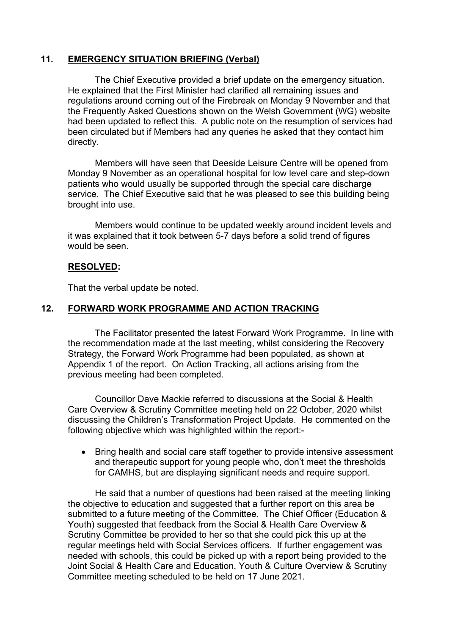## **11. EMERGENCY SITUATION BRIEFING (Verbal)**

The Chief Executive provided a brief update on the emergency situation. He explained that the First Minister had clarified all remaining issues and regulations around coming out of the Firebreak on Monday 9 November and that the Frequently Asked Questions shown on the Welsh Government (WG) website had been updated to reflect this. A public note on the resumption of services had been circulated but if Members had any queries he asked that they contact him directly.

Members will have seen that Deeside Leisure Centre will be opened from Monday 9 November as an operational hospital for low level care and step-down patients who would usually be supported through the special care discharge service. The Chief Executive said that he was pleased to see this building being brought into use.

Members would continue to be updated weekly around incident levels and it was explained that it took between 5-7 days before a solid trend of figures would be seen.

## **RESOLVED:**

That the verbal update be noted.

# **12. FORWARD WORK PROGRAMME AND ACTION TRACKING**

The Facilitator presented the latest Forward Work Programme. In line with the recommendation made at the last meeting, whilst considering the Recovery Strategy, the Forward Work Programme had been populated, as shown at Appendix 1 of the report. On Action Tracking, all actions arising from the previous meeting had been completed.

Councillor Dave Mackie referred to discussions at the Social & Health Care Overview & Scrutiny Committee meeting held on 22 October, 2020 whilst discussing the Children's Transformation Project Update. He commented on the following objective which was highlighted within the report:-

• Bring health and social care staff together to provide intensive assessment and therapeutic support for young people who, don't meet the thresholds for CAMHS, but are displaying significant needs and require support.

He said that a number of questions had been raised at the meeting linking the objective to education and suggested that a further report on this area be submitted to a future meeting of the Committee. The Chief Officer (Education & Youth) suggested that feedback from the Social & Health Care Overview & Scrutiny Committee be provided to her so that she could pick this up at the regular meetings held with Social Services officers. If further engagement was needed with schools, this could be picked up with a report being provided to the Joint Social & Health Care and Education, Youth & Culture Overview & Scrutiny Committee meeting scheduled to be held on 17 June 2021.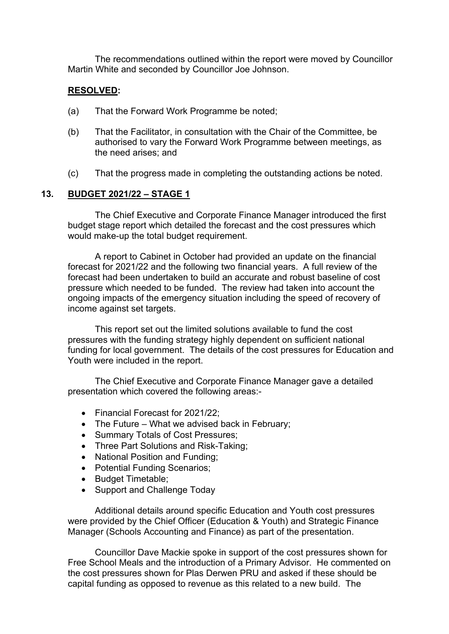The recommendations outlined within the report were moved by Councillor Martin White and seconded by Councillor Joe Johnson.

## **RESOLVED:**

- (a) That the Forward Work Programme be noted;
- (b) That the Facilitator, in consultation with the Chair of the Committee, be authorised to vary the Forward Work Programme between meetings, as the need arises; and
- (c) That the progress made in completing the outstanding actions be noted.

## **13. BUDGET 2021/22 – STAGE 1**

The Chief Executive and Corporate Finance Manager introduced the first budget stage report which detailed the forecast and the cost pressures which would make-up the total budget requirement.

A report to Cabinet in October had provided an update on the financial forecast for 2021/22 and the following two financial years. A full review of the forecast had been undertaken to build an accurate and robust baseline of cost pressure which needed to be funded. The review had taken into account the ongoing impacts of the emergency situation including the speed of recovery of income against set targets.

This report set out the limited solutions available to fund the cost pressures with the funding strategy highly dependent on sufficient national funding for local government. The details of the cost pressures for Education and Youth were included in the report.

The Chief Executive and Corporate Finance Manager gave a detailed presentation which covered the following areas:-

- Financial Forecast for 2021/22;
- The Future What we advised back in February;
- Summary Totals of Cost Pressures;
- Three Part Solutions and Risk-Taking;
- National Position and Funding;
- Potential Funding Scenarios;
- Budget Timetable;
- Support and Challenge Today

Additional details around specific Education and Youth cost pressures were provided by the Chief Officer (Education & Youth) and Strategic Finance Manager (Schools Accounting and Finance) as part of the presentation.

Councillor Dave Mackie spoke in support of the cost pressures shown for Free School Meals and the introduction of a Primary Advisor. He commented on the cost pressures shown for Plas Derwen PRU and asked if these should be capital funding as opposed to revenue as this related to a new build. The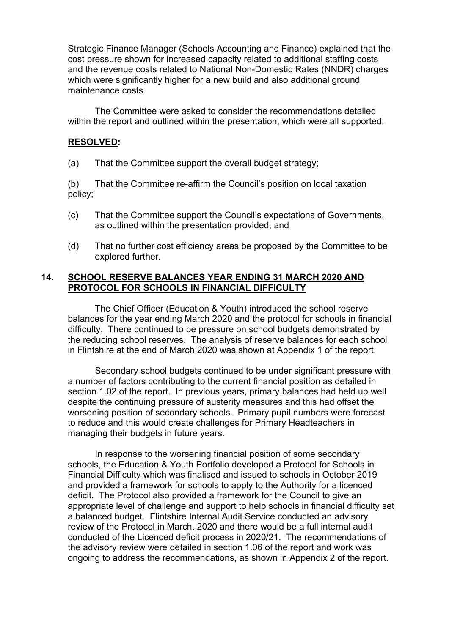Strategic Finance Manager (Schools Accounting and Finance) explained that the cost pressure shown for increased capacity related to additional staffing costs and the revenue costs related to National Non-Domestic Rates (NNDR) charges which were significantly higher for a new build and also additional ground maintenance costs.

The Committee were asked to consider the recommendations detailed within the report and outlined within the presentation, which were all supported.

#### **RESOLVED:**

(a) That the Committee support the overall budget strategy;

(b) That the Committee re-affirm the Council's position on local taxation policy;

- (c) That the Committee support the Council's expectations of Governments, as outlined within the presentation provided; and
- (d) That no further cost efficiency areas be proposed by the Committee to be explored further.

## **14. SCHOOL RESERVE BALANCES YEAR ENDING 31 MARCH 2020 AND PROTOCOL FOR SCHOOLS IN FINANCIAL DIFFICULTY**

The Chief Officer (Education & Youth) introduced the school reserve balances for the year ending March 2020 and the protocol for schools in financial difficulty. There continued to be pressure on school budgets demonstrated by the reducing school reserves. The analysis of reserve balances for each school in Flintshire at the end of March 2020 was shown at Appendix 1 of the report.

Secondary school budgets continued to be under significant pressure with a number of factors contributing to the current financial position as detailed in section 1.02 of the report. In previous years, primary balances had held up well despite the continuing pressure of austerity measures and this had offset the worsening position of secondary schools. Primary pupil numbers were forecast to reduce and this would create challenges for Primary Headteachers in managing their budgets in future years.

In response to the worsening financial position of some secondary schools, the Education & Youth Portfolio developed a Protocol for Schools in Financial Difficulty which was finalised and issued to schools in October 2019 and provided a framework for schools to apply to the Authority for a licenced deficit. The Protocol also provided a framework for the Council to give an appropriate level of challenge and support to help schools in financial difficulty set a balanced budget. Flintshire Internal Audit Service conducted an advisory review of the Protocol in March, 2020 and there would be a full internal audit conducted of the Licenced deficit process in 2020/21. The recommendations of the advisory review were detailed in section 1.06 of the report and work was ongoing to address the recommendations, as shown in Appendix 2 of the report.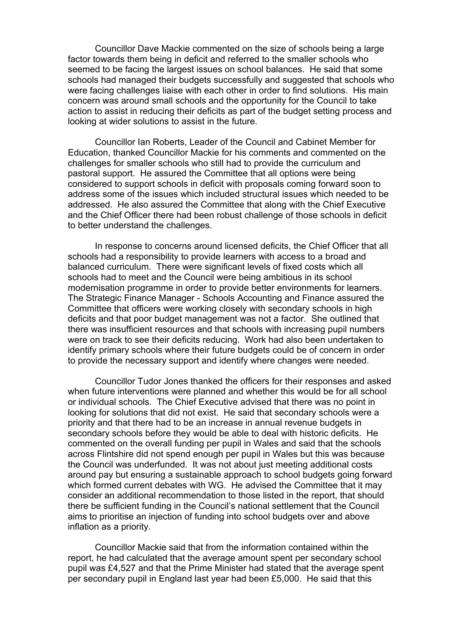Councillor Dave Mackie commented on the size of schools being a large factor towards them being in deficit and referred to the smaller schools who seemed to be facing the largest issues on school balances. He said that some schools had managed their budgets successfully and suggested that schools who were facing challenges liaise with each other in order to find solutions. His main concern was around small schools and the opportunity for the Council to take action to assist in reducing their deficits as part of the budget setting process and looking at wider solutions to assist in the future.

Councillor Ian Roberts, Leader of the Council and Cabinet Member for Education, thanked Councillor Mackie for his comments and commented on the challenges for smaller schools who still had to provide the curriculum and pastoral support. He assured the Committee that all options were being considered to support schools in deficit with proposals coming forward soon to address some of the issues which included structural issues which needed to be addressed. He also assured the Committee that along with the Chief Executive and the Chief Officer there had been robust challenge of those schools in deficit to better understand the challenges.

In response to concerns around licensed deficits, the Chief Officer that all schools had a responsibility to provide learners with access to a broad and balanced curriculum. There were significant levels of fixed costs which all schools had to meet and the Council were being ambitious in its school modernisation programme in order to provide better environments for learners. The Strategic Finance Manager - Schools Accounting and Finance assured the Committee that officers were working closely with secondary schools in high deficits and that poor budget management was not a factor. She outlined that there was insufficient resources and that schools with increasing pupil numbers were on track to see their deficits reducing. Work had also been undertaken to identify primary schools where their future budgets could be of concern in order to provide the necessary support and identify where changes were needed.

Councillor Tudor Jones thanked the officers for their responses and asked when future interventions were planned and whether this would be for all school or individual schools. The Chief Executive advised that there was no point in looking for solutions that did not exist. He said that secondary schools were a priority and that there had to be an increase in annual revenue budgets in secondary schools before they would be able to deal with historic deficits. He commented on the overall funding per pupil in Wales and said that the schools across Flintshire did not spend enough per pupil in Wales but this was because the Council was underfunded. It was not about just meeting additional costs around pay but ensuring a sustainable approach to school budgets going forward which formed current debates with WG. He advised the Committee that it may consider an additional recommendation to those listed in the report, that should there be sufficient funding in the Council's national settlement that the Council aims to prioritise an injection of funding into school budgets over and above inflation as a priority.

Councillor Mackie said that from the information contained within the report, he had calculated that the average amount spent per secondary school pupil was £4,527 and that the Prime Minister had stated that the average spent per secondary pupil in England last year had been £5,000. He said that this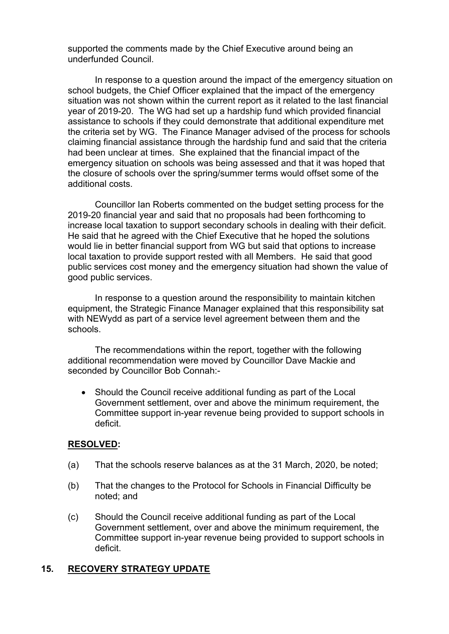supported the comments made by the Chief Executive around being an underfunded Council.

In response to a question around the impact of the emergency situation on school budgets, the Chief Officer explained that the impact of the emergency situation was not shown within the current report as it related to the last financial year of 2019-20. The WG had set up a hardship fund which provided financial assistance to schools if they could demonstrate that additional expenditure met the criteria set by WG. The Finance Manager advised of the process for schools claiming financial assistance through the hardship fund and said that the criteria had been unclear at times. She explained that the financial impact of the emergency situation on schools was being assessed and that it was hoped that the closure of schools over the spring/summer terms would offset some of the additional costs.

Councillor Ian Roberts commented on the budget setting process for the 2019-20 financial year and said that no proposals had been forthcoming to increase local taxation to support secondary schools in dealing with their deficit. He said that he agreed with the Chief Executive that he hoped the solutions would lie in better financial support from WG but said that options to increase local taxation to provide support rested with all Members. He said that good public services cost money and the emergency situation had shown the value of good public services.

In response to a question around the responsibility to maintain kitchen equipment, the Strategic Finance Manager explained that this responsibility sat with NEWydd as part of a service level agreement between them and the schools.

The recommendations within the report, together with the following additional recommendation were moved by Councillor Dave Mackie and seconded by Councillor Bob Connah:-

 Should the Council receive additional funding as part of the Local Government settlement, over and above the minimum requirement, the Committee support in-year revenue being provided to support schools in deficit.

#### **RESOLVED:**

- (a) That the schools reserve balances as at the 31 March, 2020, be noted;
- (b) That the changes to the Protocol for Schools in Financial Difficulty be noted; and
- (c) Should the Council receive additional funding as part of the Local Government settlement, over and above the minimum requirement, the Committee support in-year revenue being provided to support schools in deficit.

## **15. RECOVERY STRATEGY UPDATE**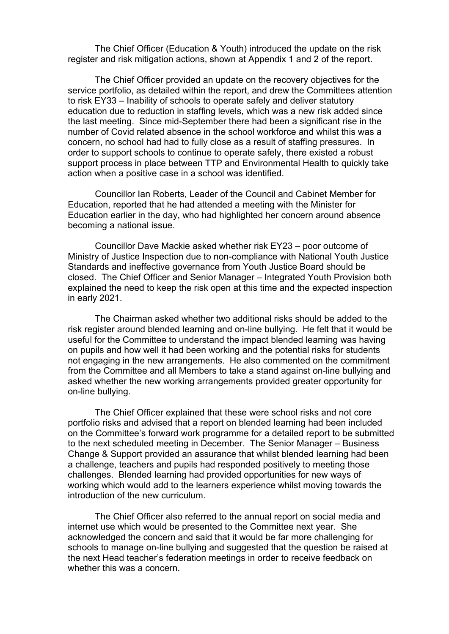The Chief Officer (Education & Youth) introduced the update on the risk register and risk mitigation actions, shown at Appendix 1 and 2 of the report.

The Chief Officer provided an update on the recovery objectives for the service portfolio, as detailed within the report, and drew the Committees attention to risk EY33 – Inability of schools to operate safely and deliver statutory education due to reduction in staffing levels, which was a new risk added since the last meeting. Since mid-September there had been a significant rise in the number of Covid related absence in the school workforce and whilst this was a concern, no school had had to fully close as a result of staffing pressures. In order to support schools to continue to operate safely, there existed a robust support process in place between TTP and Environmental Health to quickly take action when a positive case in a school was identified.

Councillor Ian Roberts, Leader of the Council and Cabinet Member for Education, reported that he had attended a meeting with the Minister for Education earlier in the day, who had highlighted her concern around absence becoming a national issue.

Councillor Dave Mackie asked whether risk EY23 – poor outcome of Ministry of Justice Inspection due to non-compliance with National Youth Justice Standards and ineffective governance from Youth Justice Board should be closed. The Chief Officer and Senior Manager – Integrated Youth Provision both explained the need to keep the risk open at this time and the expected inspection in early 2021.

The Chairman asked whether two additional risks should be added to the risk register around blended learning and on-line bullying. He felt that it would be useful for the Committee to understand the impact blended learning was having on pupils and how well it had been working and the potential risks for students not engaging in the new arrangements. He also commented on the commitment from the Committee and all Members to take a stand against on-line bullying and asked whether the new working arrangements provided greater opportunity for on-line bullying.

The Chief Officer explained that these were school risks and not core portfolio risks and advised that a report on blended learning had been included on the Committee's forward work programme for a detailed report to be submitted to the next scheduled meeting in December. The Senior Manager – Business Change & Support provided an assurance that whilst blended learning had been a challenge, teachers and pupils had responded positively to meeting those challenges. Blended learning had provided opportunities for new ways of working which would add to the learners experience whilst moving towards the introduction of the new curriculum.

The Chief Officer also referred to the annual report on social media and internet use which would be presented to the Committee next year. She acknowledged the concern and said that it would be far more challenging for schools to manage on-line bullying and suggested that the question be raised at the next Head teacher's federation meetings in order to receive feedback on whether this was a concern.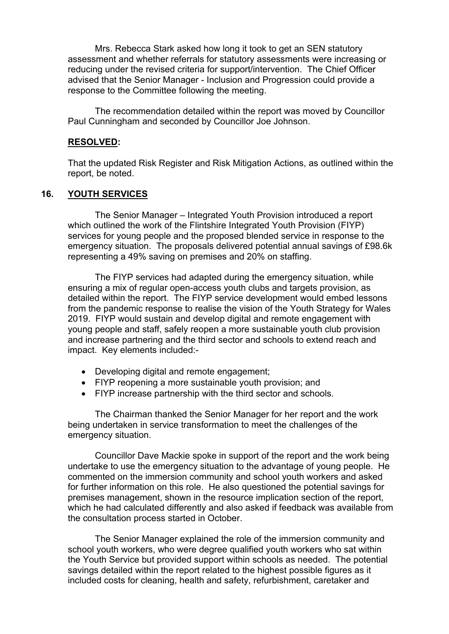Mrs. Rebecca Stark asked how long it took to get an SEN statutory assessment and whether referrals for statutory assessments were increasing or reducing under the revised criteria for support/intervention. The Chief Officer advised that the Senior Manager - Inclusion and Progression could provide a response to the Committee following the meeting.

The recommendation detailed within the report was moved by Councillor Paul Cunningham and seconded by Councillor Joe Johnson.

#### **RESOLVED:**

That the updated Risk Register and Risk Mitigation Actions, as outlined within the report, be noted.

## **16. YOUTH SERVICES**

The Senior Manager – Integrated Youth Provision introduced a report which outlined the work of the Flintshire Integrated Youth Provision (FIYP) services for young people and the proposed blended service in response to the emergency situation. The proposals delivered potential annual savings of £98.6k representing a 49% saving on premises and 20% on staffing.

The FIYP services had adapted during the emergency situation, while ensuring a mix of regular open-access youth clubs and targets provision, as detailed within the report. The FIYP service development would embed lessons from the pandemic response to realise the vision of the Youth Strategy for Wales 2019. FIYP would sustain and develop digital and remote engagement with young people and staff, safely reopen a more sustainable youth club provision and increase partnering and the third sector and schools to extend reach and impact. Key elements included:-

- Developing digital and remote engagement;
- FIYP reopening a more sustainable youth provision; and
- FIYP increase partnership with the third sector and schools.

The Chairman thanked the Senior Manager for her report and the work being undertaken in service transformation to meet the challenges of the emergency situation.

Councillor Dave Mackie spoke in support of the report and the work being undertake to use the emergency situation to the advantage of young people. He commented on the immersion community and school youth workers and asked for further information on this role. He also questioned the potential savings for premises management, shown in the resource implication section of the report, which he had calculated differently and also asked if feedback was available from the consultation process started in October.

The Senior Manager explained the role of the immersion community and school youth workers, who were degree qualified youth workers who sat within the Youth Service but provided support within schools as needed. The potential savings detailed within the report related to the highest possible figures as it included costs for cleaning, health and safety, refurbishment, caretaker and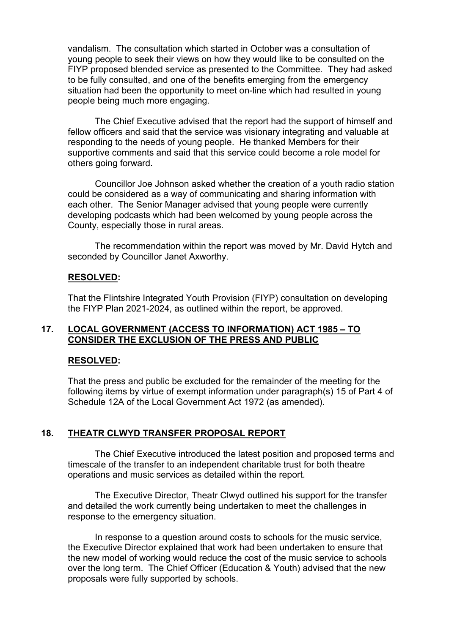vandalism. The consultation which started in October was a consultation of young people to seek their views on how they would like to be consulted on the FIYP proposed blended service as presented to the Committee. They had asked to be fully consulted, and one of the benefits emerging from the emergency situation had been the opportunity to meet on-line which had resulted in young people being much more engaging.

The Chief Executive advised that the report had the support of himself and fellow officers and said that the service was visionary integrating and valuable at responding to the needs of young people. He thanked Members for their supportive comments and said that this service could become a role model for others going forward.

Councillor Joe Johnson asked whether the creation of a youth radio station could be considered as a way of communicating and sharing information with each other. The Senior Manager advised that young people were currently developing podcasts which had been welcomed by young people across the County, especially those in rural areas.

The recommendation within the report was moved by Mr. David Hytch and seconded by Councillor Janet Axworthy.

### **RESOLVED:**

That the Flintshire Integrated Youth Provision (FIYP) consultation on developing the FIYP Plan 2021-2024, as outlined within the report, be approved.

### **17. LOCAL GOVERNMENT (ACCESS TO INFORMATION) ACT 1985 – TO CONSIDER THE EXCLUSION OF THE PRESS AND PUBLIC**

#### **RESOLVED:**

That the press and public be excluded for the remainder of the meeting for the following items by virtue of exempt information under paragraph(s) 15 of Part 4 of Schedule 12A of the Local Government Act 1972 (as amended).

#### **18. THEATR CLWYD TRANSFER PROPOSAL REPORT**

The Chief Executive introduced the latest position and proposed terms and timescale of the transfer to an independent charitable trust for both theatre operations and music services as detailed within the report.

The Executive Director, Theatr Clwyd outlined his support for the transfer and detailed the work currently being undertaken to meet the challenges in response to the emergency situation.

In response to a question around costs to schools for the music service, the Executive Director explained that work had been undertaken to ensure that the new model of working would reduce the cost of the music service to schools over the long term. The Chief Officer (Education & Youth) advised that the new proposals were fully supported by schools.